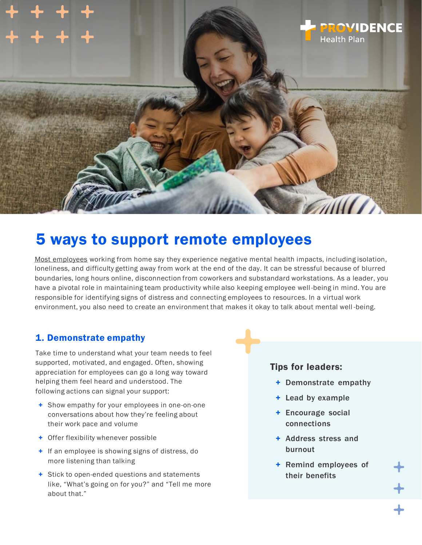

# 5 ways to support remote employees

[Most employees](https://www.psychiatry.org/newsroom/news-releases/as-americans-begin-to-return-to-the-office-views-on-workplace-mental-health-are-mixed) working from home say they experience negative mental health impacts, including isolation, loneliness, and difficulty getting away from work at the end of the day. It can be stressful because of blurred boundaries, long hours online, disconnection from coworkers and substandard workstations. As a leader, you have a pivotal role in maintaining team productivity while also keeping employee well -being in mind. You are responsible for identifying signs of distress and connecting employees to resources. In a virtual work environment, you also need to create an environment that makes it okay to talk about mental well -being.

#### 1. Demonstrate empathy

Take time to understand what your team needs to feel supported, motivated, and engaged. Often, showing appreciation for employees can go a long way toward helping them feel heard and understood. The following actions can signal your support:

- + Show empathy for your employees in one-on-one conversations about how they're feeling about their work pace and volume
- + Offer flexibility whenever possible
- + If an employee is showing signs of distress, do more listening than talking
- + Stick to open-ended questions and statements like, "What's going on for you?" and "Tell me more about that."

#### Tips for leaders:

- + Demonstrate empathy
- + Lead by example
- + Encourage social connections
- + Address stress and burnout
- + Remind employees of their benefits